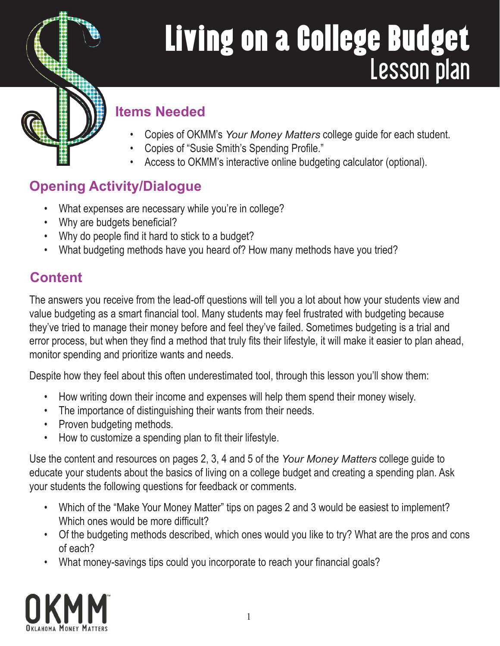# Living on a College Budget Lesson plan



#### **Items Needed**

- Copies of OKMM's *Your Money Matters* college guide for each student.
- Copies of "Susie Smith's Spending Profile."
- Access to OKMM's interactive online budgeting calculator (optional).

### **Opening Activity/Dialogue**

- What expenses are necessary while you're in college?
- Why are budgets beneficial?
- Why do people find it hard to stick to a budget?
- What budgeting methods have you heard of? How many methods have you tried?

#### **Content**

The answers you receive from the lead-off questions will tell you a lot about how your students view and value budgeting as a smart financial tool. Many students may feel frustrated with budgeting because they've tried to manage their money before and feel they've failed. Sometimes budgeting is a trial and error process, but when they find a method that truly fits their lifestyle, it will make it easier to plan ahead, monitor spending and prioritize wants and needs.

Despite how they feel about this often underestimated tool, through this lesson you'll show them:

- How writing down their income and expenses will help them spend their money wisely.
- The importance of distinguishing their wants from their needs.
- Proven budgeting methods.
- How to customize a spending plan to fit their lifestyle.

Use the content and resources on pages 2, 3, 4 and 5 of the *Your Money Matters* college guide to educate your students about the basics of living on a college budget and creating a spending plan. Ask your students the following questions for feedback or comments.

- Which of the "Make Your Money Matter" tips on pages 2 and 3 would be easiest to implement? Which ones would be more difficult?
- Of the budgeting methods described, which ones would you like to try? What are the pros and cons of each?
- What money-savings tips could you incorporate to reach your financial goals?

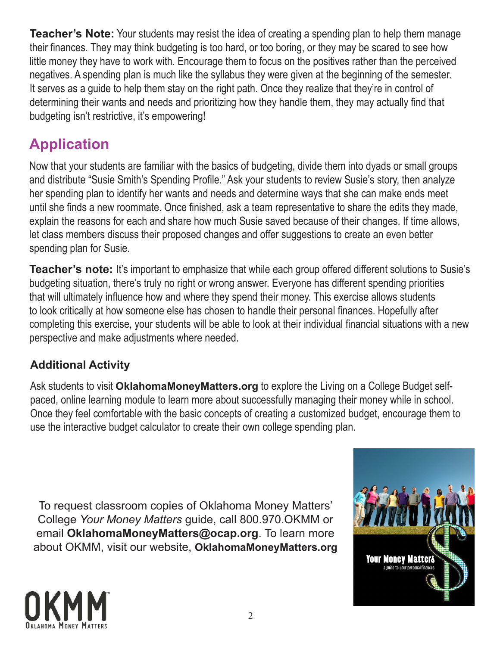**Teacher's Note:** Your students may resist the idea of creating a spending plan to help them manage their finances. They may think budgeting is too hard, or too boring, or they may be scared to see how little money they have to work with. Encourage them to focus on the positives rather than the perceived negatives. A spending plan is much like the syllabus they were given at the beginning of the semester. It serves as a guide to help them stay on the right path. Once they realize that they're in control of determining their wants and needs and prioritizing how they handle them, they may actually find that budgeting isn't restrictive, it's empowering!

#### **Application**

Now that your students are familiar with the basics of budgeting, divide them into dyads or small groups and distribute "Susie Smith's Spending Profile." Ask your students to review Susie's story, then analyze her spending plan to identify her wants and needs and determine ways that she can make ends meet until she finds a new roommate. Once finished, ask a team representative to share the edits they made, explain the reasons for each and share how much Susie saved because of their changes. If time allows, let class members discuss their proposed changes and offer suggestions to create an even better spending plan for Susie.

**Teacher's note:** It's important to emphasize that while each group offered different solutions to Susie's budgeting situation, there's truly no right or wrong answer. Everyone has different spending priorities that will ultimately influence how and where they spend their money. This exercise allows students to look critically at how someone else has chosen to handle their personal finances. Hopefully after completing this exercise, your students will be able to look at their individual financial situations with a new perspective and make adjustments where needed.

#### **Additional Activity**

Ask students to visit **OklahomaMoneyMatters.org** to explore the Living on a College Budget selfpaced, online learning module to learn more about successfully managing their money while in school. Once they feel comfortable with the basic concepts of creating a customized budget, encourage them to use the interactive budget calculator to create their own college spending plan.

To request classroom copies of Oklahoma Money Matters' College *Your Money Matters* guide, call 800.970.OKMM or email **OklahomaMoneyMatters@ocap.org**. To learn more about OKMM, visit our website, **OklahomaMoneyMatters.org**



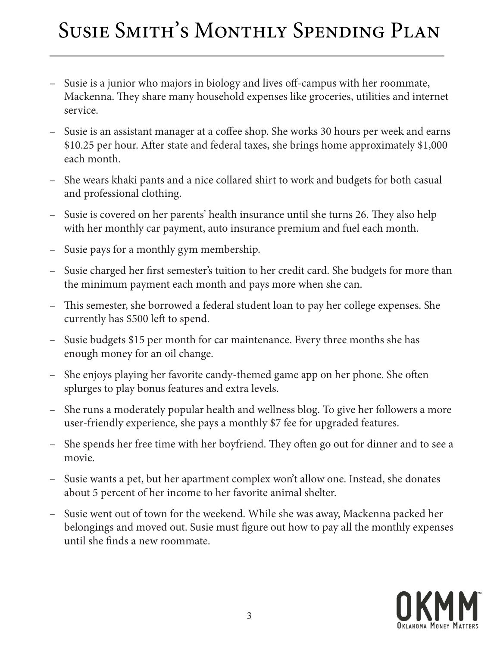## Susie Smith's Monthly Spending Plan

- Susie is a junior who majors in biology and lives off-campus with her roommate, Mackenna. They share many household expenses like groceries, utilities and internet service.
- Susie is an assistant manager at a coffee shop. She works 30 hours per week and earns \$10.25 per hour. After state and federal taxes, she brings home approximately \$1,000 each month.
- She wears khaki pants and a nice collared shirt to work and budgets for both casual and professional clothing.
- Susie is covered on her parents' health insurance until she turns 26. They also help with her monthly car payment, auto insurance premium and fuel each month.
- Susie pays for a monthly gym membership.
- Susie charged her first semester's tuition to her credit card. She budgets for more than the minimum payment each month and pays more when she can.
- This semester, she borrowed a federal student loan to pay her college expenses. She currently has \$500 left to spend.
- Susie budgets \$15 per month for car maintenance. Every three months she has enough money for an oil change.
- She enjoys playing her favorite candy-themed game app on her phone. She often splurges to play bonus features and extra levels.
- She runs a moderately popular health and wellness blog. To give her followers a more user-friendly experience, she pays a monthly \$7 fee for upgraded features.
- She spends her free time with her boyfriend. They often go out for dinner and to see a movie.
- Susie wants a pet, but her apartment complex won't allow one. Instead, she donates about 5 percent of her income to her favorite animal shelter.
- Susie went out of town for the weekend. While she was away, Mackenna packed her belongings and moved out. Susie must figure out how to pay all the monthly expenses until she finds a new roommate.